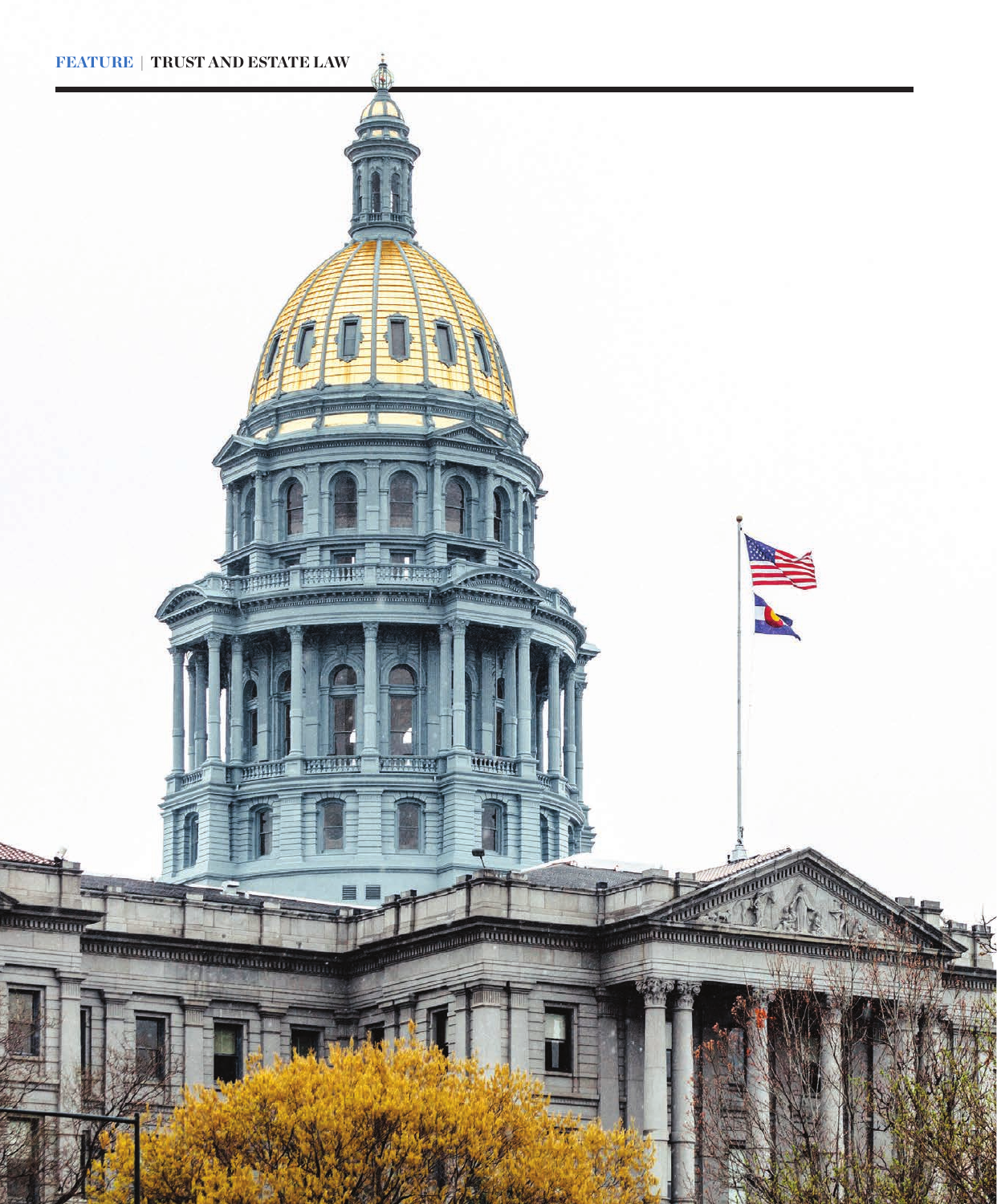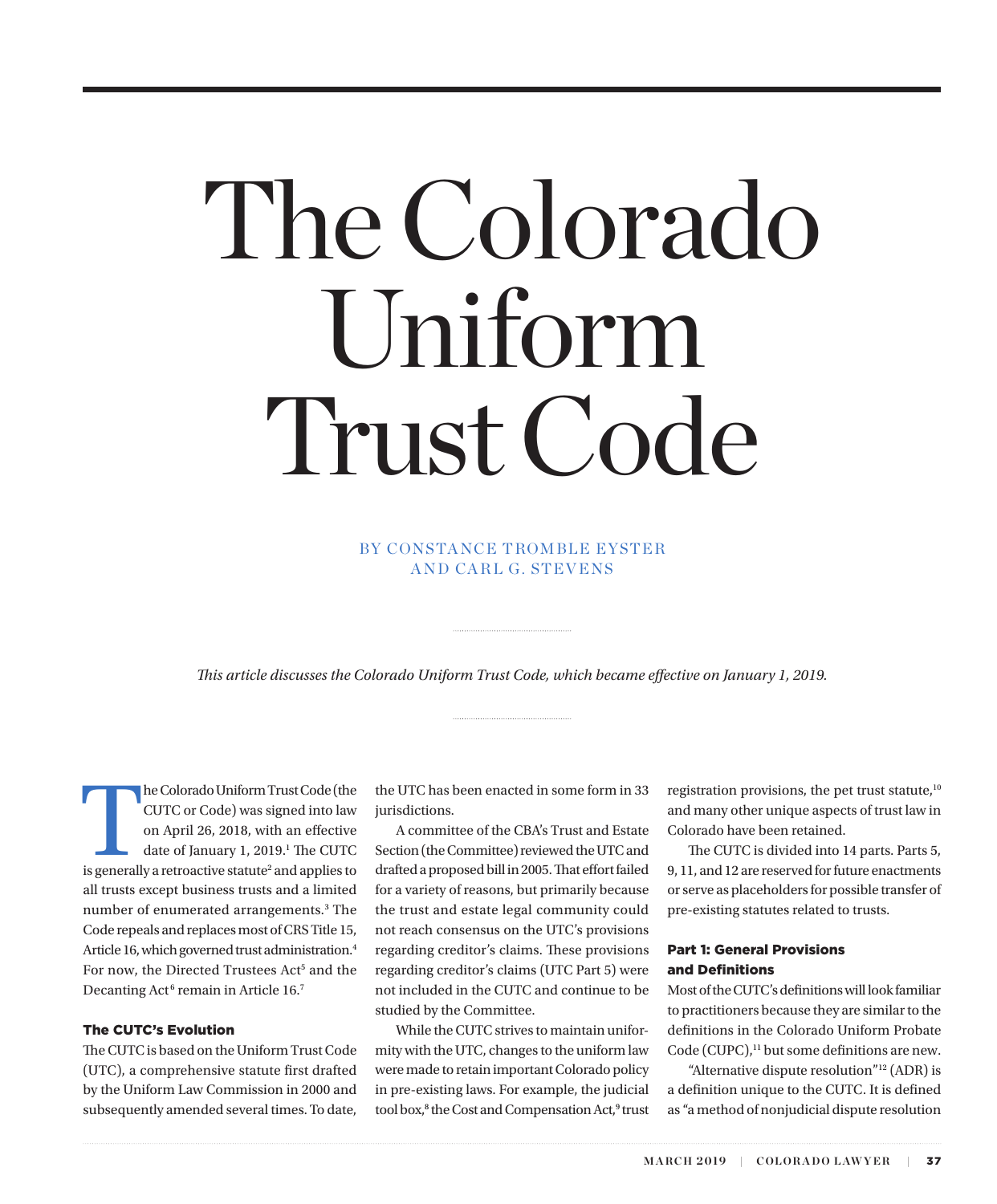# The Colorado Uniform Trust Code

BY CONSTANCE TROMBLE EYSTER AND CARL G. STEVENS

*This article discusses the Colorado Uniform Trust Code, which became effective on January 1, 2019.*

The Colorado Uniform Trust Code (the CUTC or Code) was signed into law on April 26, 2018, with an effective date of January 1, 2019.<sup>1</sup> The CUTC is generally a retroactive statute<sup>2</sup> and applies to CUTC or Code) was signed into law on April 26, 2018, with an effective date of January 1, 2019.<sup>1</sup> The CUTC all trusts except business trusts and a limited number of enumerated arrangements.<sup>3</sup> The Code repeals and replaces most of CRS Title 15, Article 16, which governed trust administration.4 For now, the Directed Trustees Act<sup>5</sup> and the Decanting Act<sup>6</sup> remain in Article 16.7

# The CUTC's Evolution

The CUTC is based on the Uniform Trust Code (UTC), a comprehensive statute first drafted by the Uniform Law Commission in 2000 and subsequently amended several times. To date, the UTC has been enacted in some form in 33 jurisdictions.

A committee of the CBA's Trust and Estate Section (the Committee) reviewed the UTC and drafted a proposed bill in 2005. That effort failed for a variety of reasons, but primarily because the trust and estate legal community could not reach consensus on the UTC's provisions regarding creditor's claims. These provisions regarding creditor's claims (UTC Part 5) were not included in the CUTC and continue to be studied by the Committee.

While the CUTC strives to maintain uniformity with the UTC, changes to the uniform law were made to retain important Colorado policy in pre-existing laws. For example, the judicial tool box,<sup>8</sup> the Cost and Compensation Act,<sup>9</sup> trust registration provisions, the pet trust statute, $10$ and many other unique aspects of trust law in Colorado have been retained.

The CUTC is divided into 14 parts. Parts 5, 9, 11, and 12 are reserved for future enactments or serve as placeholders for possible transfer of pre-existing statutes related to trusts.

# Part 1: General Provisions and Definitions

Most of the CUTC's definitions will look familiar to practitioners because they are similar to the definitions in the Colorado Uniform Probate Code (CUPC),<sup>11</sup> but some definitions are new.

"Alternative dispute resolution"12 (ADR) is a definition unique to the CUTC. It is defined as "a method of nonjudicial dispute resolution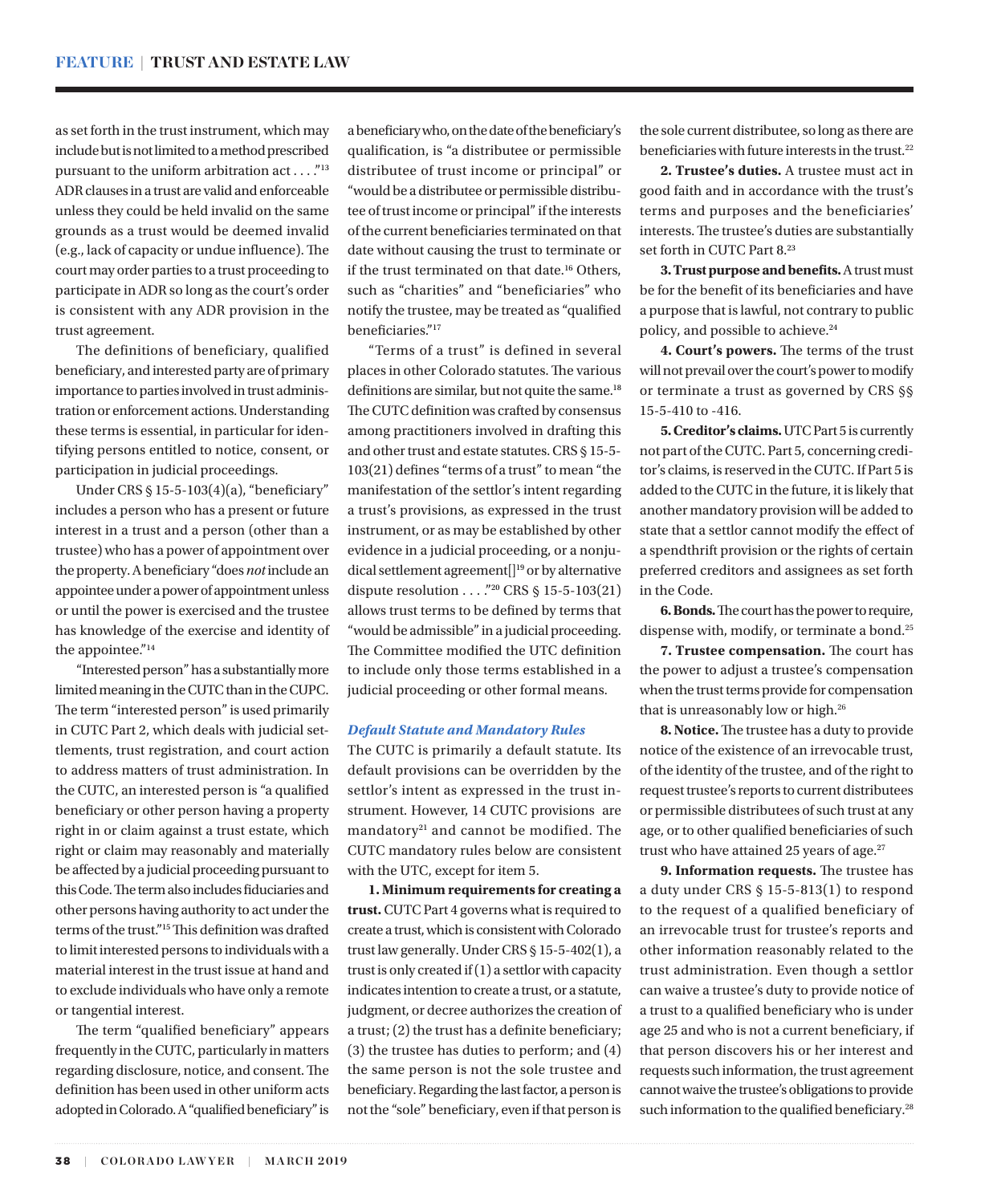as set forth in the trust instrument, which may include but is not limited to a method prescribed pursuant to the uniform arbitration  $act \dots$ ."<sup>13</sup> ADR clauses in a trust are valid and enforceable unless they could be held invalid on the same grounds as a trust would be deemed invalid (e.g., lack of capacity or undue influence). The court may order parties to a trust proceeding to participate in ADR so long as the court's order is consistent with any ADR provision in the trust agreement.

The definitions of beneficiary, qualified beneficiary, and interested party are of primary importance to parties involved in trust administration or enforcement actions. Understanding these terms is essential, in particular for identifying persons entitled to notice, consent, or participation in judicial proceedings.

Under CRS § 15-5-103(4)(a), "beneficiary" includes a person who has a present or future interest in a trust and a person (other than a trustee) who has a power of appointment over the property. A beneficiary "does *not* include an appointee under a power of appointment unless or until the power is exercised and the trustee has knowledge of the exercise and identity of the appointee."14

"Interested person" has a substantially more limited meaning in the CUTC than in the CUPC. The term "interested person" is used primarily in CUTC Part 2, which deals with judicial settlements, trust registration, and court action to address matters of trust administration. In the CUTC, an interested person is "a qualified beneficiary or other person having a property right in or claim against a trust estate, which right or claim may reasonably and materially be affected by a judicial proceeding pursuant to this Code. The term also includes fiduciaries and other persons having authority to act under the terms of the trust."15 This definition was drafted to limit interested persons to individuals with a material interest in the trust issue at hand and to exclude individuals who have only a remote or tangential interest.

The term "qualified beneficiary" appears frequently in the CUTC, particularly in matters regarding disclosure, notice, and consent. The definition has been used in other uniform acts adopted in Colorado. A "qualified beneficiary" is

a beneficiary who, on the date of the beneficiary's qualification, is "a distributee or permissible distributee of trust income or principal" or "would be a distributee or permissible distributee of trust income or principal" if the interests of the current beneficiaries terminated on that date without causing the trust to terminate or if the trust terminated on that date.<sup>16</sup> Others, such as "charities" and "beneficiaries" who notify the trustee, may be treated as "qualified beneficiaries."17

"Terms of a trust" is defined in several places in other Colorado statutes. The various definitions are similar, but not quite the same.<sup>18</sup> The CUTC definition was crafted by consensus among practitioners involved in drafting this and other trust and estate statutes. CRS § 15-5- 103(21) defines "terms of a trust" to mean "the manifestation of the settlor's intent regarding a trust's provisions, as expressed in the trust instrument, or as may be established by other evidence in a judicial proceeding, or a nonjudical settlement agreement[]19 or by alternative dispute resolution  $\ldots$ ."<sup>20</sup> CRS § 15-5-103(21) allows trust terms to be defined by terms that "would be admissible" in a judicial proceeding. The Committee modified the UTC definition to include only those terms established in a judicial proceeding or other formal means.

# *Default Statute and Mandatory Rules*

The CUTC is primarily a default statute. Its default provisions can be overridden by the settlor's intent as expressed in the trust instrument. However, 14 CUTC provisions are mandatory<sup>21</sup> and cannot be modified. The CUTC mandatory rules below are consistent with the UTC, except for item 5.

**1. Minimum requirements for creating a trust.** CUTC Part 4 governs what is required to create a trust, which is consistent with Colorado trust law generally. Under CRS § 15-5-402(1), a trust is only created if  $(1)$  a settlor with capacity indicates intention to create a trust, or a statute, judgment, or decree authorizes the creation of a trust; (2) the trust has a definite beneficiary; (3) the trustee has duties to perform; and (4) the same person is not the sole trustee and beneficiary. Regarding the last factor, a person is not the "sole" beneficiary, even if that person is

the sole current distributee, so long as there are beneficiaries with future interests in the trust.<sup>22</sup>

**2. Trustee's duties.** A trustee must act in good faith and in accordance with the trust's terms and purposes and the beneficiaries' interests. The trustee's duties are substantially set forth in CUTC Part 8.<sup>23</sup>

**3. Trust purpose and benefits.** A trust must be for the benefit of its beneficiaries and have a purpose that is lawful, not contrary to public policy, and possible to achieve.<sup>24</sup>

**4. Court's powers.** The terms of the trust will not prevail over the court's power to modify or terminate a trust as governed by CRS §§ 15-5-410 to -416.

**5. Creditor's claims.** UTC Part 5 is currently not part of the CUTC. Part 5, concerning creditor's claims, is reserved in the CUTC. If Part 5 is added to the CUTC in the future, it is likely that another mandatory provision will be added to state that a settlor cannot modify the effect of a spendthrift provision or the rights of certain preferred creditors and assignees as set forth in the Code.

**6. Bonds.** The court has the power to require, dispense with, modify, or terminate a bond.25

**7. Trustee compensation.** The court has the power to adjust a trustee's compensation when the trust terms provide for compensation that is unreasonably low or high.26

**8. Notice.** The trustee has a duty to provide notice of the existence of an irrevocable trust, of the identity of the trustee, and of the right to request trustee's reports to current distributees or permissible distributees of such trust at any age, or to other qualified beneficiaries of such trust who have attained 25 years of age.<sup>27</sup>

**9. Information requests.** The trustee has a duty under CRS § 15-5-813(1) to respond to the request of a qualified beneficiary of an irrevocable trust for trustee's reports and other information reasonably related to the trust administration. Even though a settlor can waive a trustee's duty to provide notice of a trust to a qualified beneficiary who is under age 25 and who is not a current beneficiary, if that person discovers his or her interest and requests such information, the trust agreement cannot waive the trustee's obligations to provide such information to the qualified beneficiary.<sup>28</sup>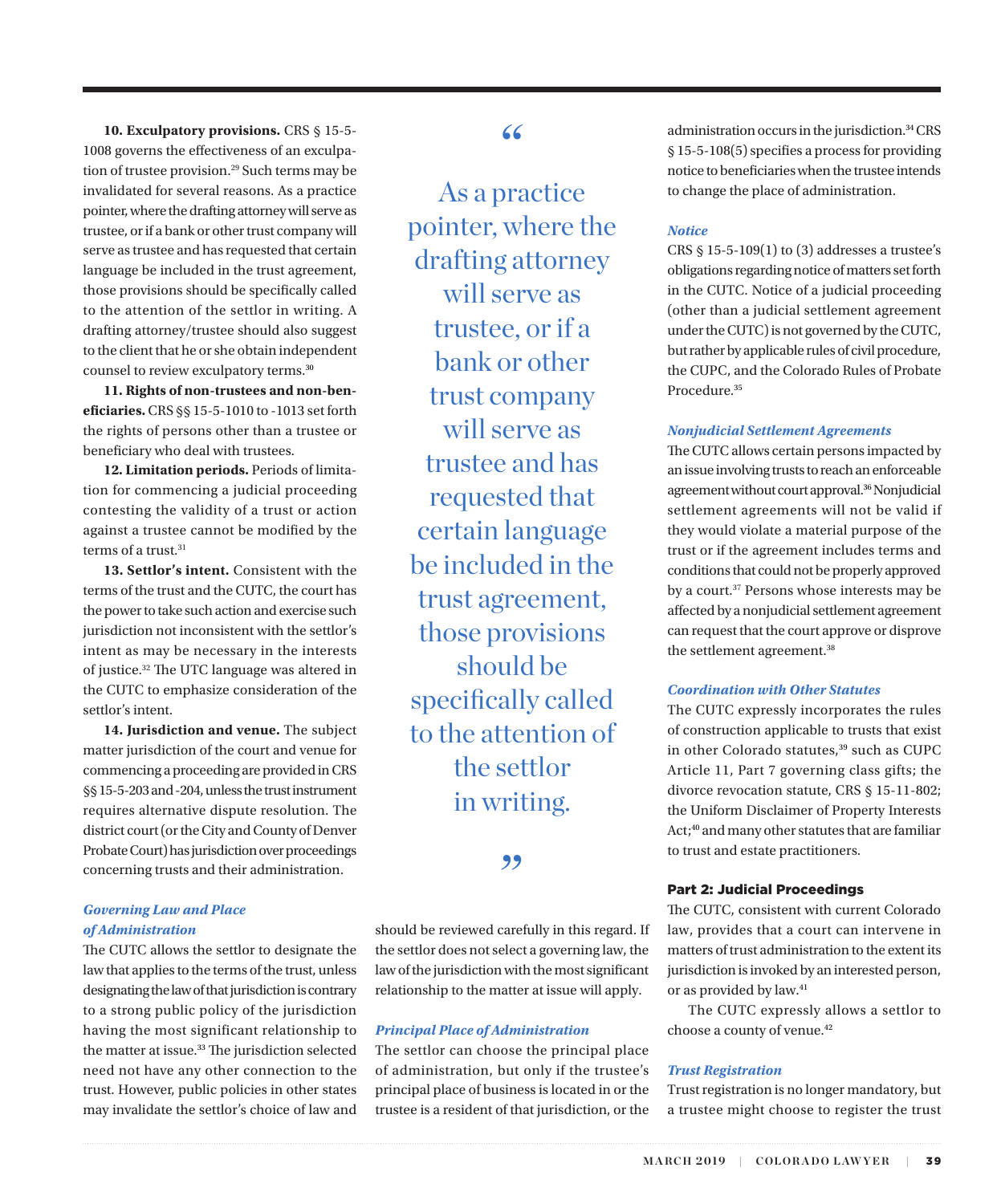**10. Exculpatory provisions.** CRS § 15-5- 1008 governs the effectiveness of an exculpation of trustee provision.<sup>29</sup> Such terms may be invalidated for several reasons. As a practice pointer, where the drafting attorney will serve as trustee, or if a bank or other trust company will serve as trustee and has requested that certain language be included in the trust agreement, those provisions should be specifically called to the attention of the settlor in writing. A drafting attorney/trustee should also suggest to the client that he or she obtain independent counsel to review exculpatory terms.<sup>30</sup>

**11. Rights of non-trustees and non-beneficiaries.** CRS §§ 15-5-1010 to -1013 set forth the rights of persons other than a trustee or beneficiary who deal with trustees.

**12. Limitation periods.** Periods of limitation for commencing a judicial proceeding contesting the validity of a trust or action against a trustee cannot be modified by the terms of a trust. $31$ 

**13. Settlor's intent.** Consistent with the terms of the trust and the CUTC, the court has the power to take such action and exercise such jurisdiction not inconsistent with the settlor's intent as may be necessary in the interests of justice.<sup>32</sup> The UTC language was altered in the CUTC to emphasize consideration of the settlor's intent.

**14. Jurisdiction and venue.** The subject matter jurisdiction of the court and venue for commencing a proceeding are provided in CRS §§ 15-5-203 and -204, unless the trust instrument requires alternative dispute resolution. The district court (or the City and County of Denver Probate Court) has jurisdiction over proceedings concerning trusts and their administration.

# *Governing Law and Place of Administration*

The CUTC allows the settlor to designate the law that applies to the terms of the trust, unless designating the law of that jurisdiction is contrary to a strong public policy of the jurisdiction having the most significant relationship to the matter at issue.<sup>33</sup> The jurisdiction selected need not have any other connection to the trust. However, public policies in other states may invalidate the settlor's choice of law and

# "

As a practice pointer, where the drafting attorney will serve as trustee, or if a bank or other trust company will serve as trustee and has requested that certain language be included in the trust agreement, those provisions should be specifically called to the attention of the settlor in writing.

,,

should be reviewed carefully in this regard. If the settlor does not select a governing law, the law of the jurisdiction with the most significant relationship to the matter at issue will apply.

# *Principal Place of Administration*

The settlor can choose the principal place of administration, but only if the trustee's principal place of business is located in or the trustee is a resident of that jurisdiction, or the administration occurs in the jurisdiction.<sup>34</sup> CRS § 15-5-108(5) specifies a process for providing notice to beneficiaries when the trustee intends to change the place of administration.

# *Notice*

CRS  $\S$  15-5-109(1) to (3) addresses a trustee's obligations regarding notice of matters set forth in the CUTC. Notice of a judicial proceeding (other than a judicial settlement agreement under the CUTC) is not governed by the CUTC, but rather by applicable rules of civil procedure, the CUPC, and the Colorado Rules of Probate Procedure.35

# *Nonjudicial Settlement Agreements*

The CUTC allows certain persons impacted by an issue involving trusts to reach an enforceable agreement without court approval.<sup>36</sup> Nonjudicial settlement agreements will not be valid if they would violate a material purpose of the trust or if the agreement includes terms and conditions that could not be properly approved by a court.<sup>37</sup> Persons whose interests may be affected by a nonjudicial settlement agreement can request that the court approve or disprove the settlement agreement.<sup>38</sup>

# *Coordination with Other Statutes*

The CUTC expressly incorporates the rules of construction applicable to trusts that exist in other Colorado statutes,<sup>39</sup> such as CUPC Article 11, Part 7 governing class gifts; the divorce revocation statute, CRS § 15-11-802; the Uniform Disclaimer of Property Interests Act;<sup>40</sup> and many other statutes that are familiar to trust and estate practitioners.

# Part 2: Judicial Proceedings

The CUTC, consistent with current Colorado law, provides that a court can intervene in matters of trust administration to the extent its jurisdiction is invoked by an interested person, or as provided by law.41

The CUTC expressly allows a settlor to choose a county of venue.<sup>42</sup>

# *Trust Registration*

Trust registration is no longer mandatory, but a trustee might choose to register the trust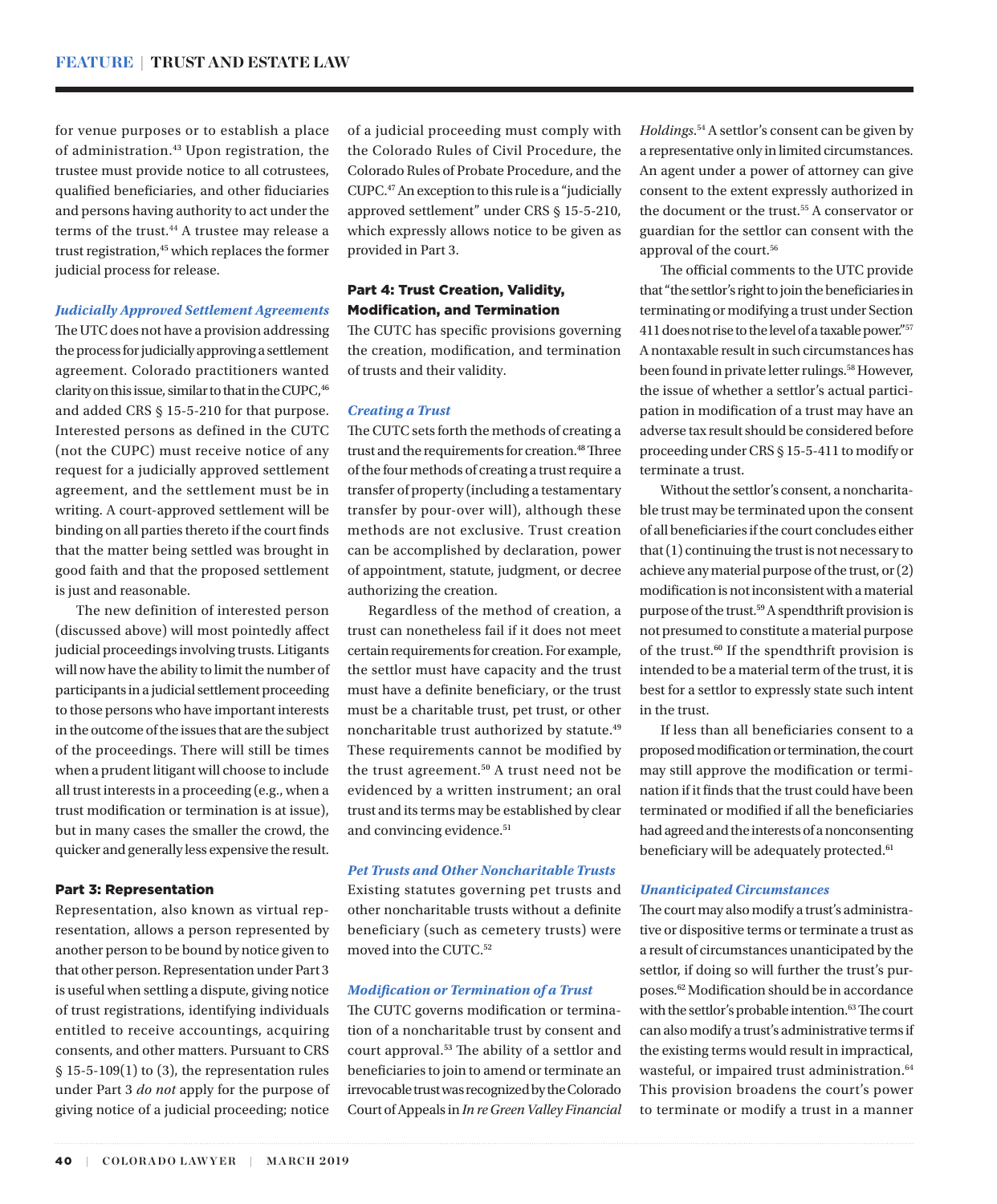for venue purposes or to establish a place of administration.<sup>43</sup> Upon registration, the trustee must provide notice to all cotrustees, qualified beneficiaries, and other fiduciaries and persons having authority to act under the terms of the trust.<sup>44</sup> A trustee may release a trust registration,<sup>45</sup> which replaces the former judicial process for release.

# *Judicially Approved Settlement Agreements*

The UTC does not have a provision addressing the process for judicially approving a settlement agreement. Colorado practitioners wanted clarity on this issue, similar to that in the CUPC, 46 and added CRS § 15-5-210 for that purpose. Interested persons as defined in the CUTC (not the CUPC) must receive notice of any request for a judicially approved settlement agreement, and the settlement must be in writing. A court-approved settlement will be binding on all parties thereto if the court finds that the matter being settled was brought in good faith and that the proposed settlement is just and reasonable.

The new definition of interested person (discussed above) will most pointedly affect judicial proceedings involving trusts. Litigants will now have the ability to limit the number of participants in a judicial settlement proceeding to those persons who have important interests in the outcome of the issues that are the subject of the proceedings. There will still be times when a prudent litigant will choose to include all trust interests in a proceeding (e.g., when a trust modification or termination is at issue), but in many cases the smaller the crowd, the quicker and generally less expensive the result.

#### Part 3: Representation

Representation, also known as virtual representation, allows a person represented by another person to be bound by notice given to that other person. Representation under Part 3 is useful when settling a dispute, giving notice of trust registrations, identifying individuals entitled to receive accountings, acquiring consents, and other matters. Pursuant to CRS  $\S$  15-5-109(1) to (3), the representation rules under Part 3 *do not* apply for the purpose of giving notice of a judicial proceeding; notice

of a judicial proceeding must comply with the Colorado Rules of Civil Procedure, the Colorado Rules of Probate Procedure, and the CUPC.47 An exception to this rule is a "judicially approved settlement" under CRS § 15-5-210, which expressly allows notice to be given as provided in Part 3.

# Part 4: Trust Creation, Validity, Modification, and Termination

The CUTC has specific provisions governing the creation, modification, and termination of trusts and their validity.

#### *Creating a Trust*

The CUTC sets forth the methods of creating a trust and the requirements for creation.48 Three of the four methods of creating a trust require a transfer of property (including a testamentary transfer by pour-over will), although these methods are not exclusive. Trust creation can be accomplished by declaration, power of appointment, statute, judgment, or decree authorizing the creation.

Regardless of the method of creation, a trust can nonetheless fail if it does not meet certain requirements for creation. For example, the settlor must have capacity and the trust must have a definite beneficiary, or the trust must be a charitable trust, pet trust, or other noncharitable trust authorized by statute.<sup>49</sup> These requirements cannot be modified by the trust agreement.<sup>50</sup> A trust need not be evidenced by a written instrument; an oral trust and its terms may be established by clear and convincing evidence.<sup>51</sup>

#### *Pet Trusts and Other Noncharitable Trusts*

Existing statutes governing pet trusts and other noncharitable trusts without a definite beneficiary (such as cemetery trusts) were moved into the CUTC.52

#### *Modification or Termination of a Trust*

The CUTC governs modification or termination of a noncharitable trust by consent and court approval.53 The ability of a settlor and beneficiaries to join to amend or terminate an irrevocable trust was recognized by the Colorado Court of Appeals in *In re Green Valley Financial* 

*Holdings*. 54 A settlor's consent can be given by a representative only in limited circumstances. An agent under a power of attorney can give consent to the extent expressly authorized in the document or the trust.<sup>55</sup> A conservator or guardian for the settlor can consent with the approval of the court.<sup>56</sup>

The official comments to the UTC provide that "the settlor's right to join the beneficiaries in terminating or modifying a trust under Section 411 does not rise to the level of a taxable power."57 A nontaxable result in such circumstances has been found in private letter rulings.<sup>58</sup> However, the issue of whether a settlor's actual participation in modification of a trust may have an adverse tax result should be considered before proceeding under CRS § 15-5-411 to modify or terminate a trust.

Without the settlor's consent, a noncharitable trust may be terminated upon the consent of all beneficiaries if the court concludes either that (1) continuing the trust is not necessary to achieve any material purpose of the trust, or (2) modification is not inconsistent with a material purpose of the trust.59 A spendthrift provision is not presumed to constitute a material purpose of the trust. $60$  If the spendthrift provision is intended to be a material term of the trust, it is best for a settlor to expressly state such intent in the trust.

If less than all beneficiaries consent to a proposed modification or termination, the court may still approve the modification or termination if it finds that the trust could have been terminated or modified if all the beneficiaries had agreed and the interests of a nonconsenting beneficiary will be adequately protected.<sup>61</sup>

#### *Unanticipated Circumstances*

The court may also modify a trust's administrative or dispositive terms or terminate a trust as a result of circumstances unanticipated by the settlor, if doing so will further the trust's purposes.62 Modification should be in accordance with the settlor's probable intention.<sup>63</sup> The court can also modify a trust's administrative terms if the existing terms would result in impractical, wasteful, or impaired trust administration.<sup>64</sup> This provision broadens the court's power to terminate or modify a trust in a manner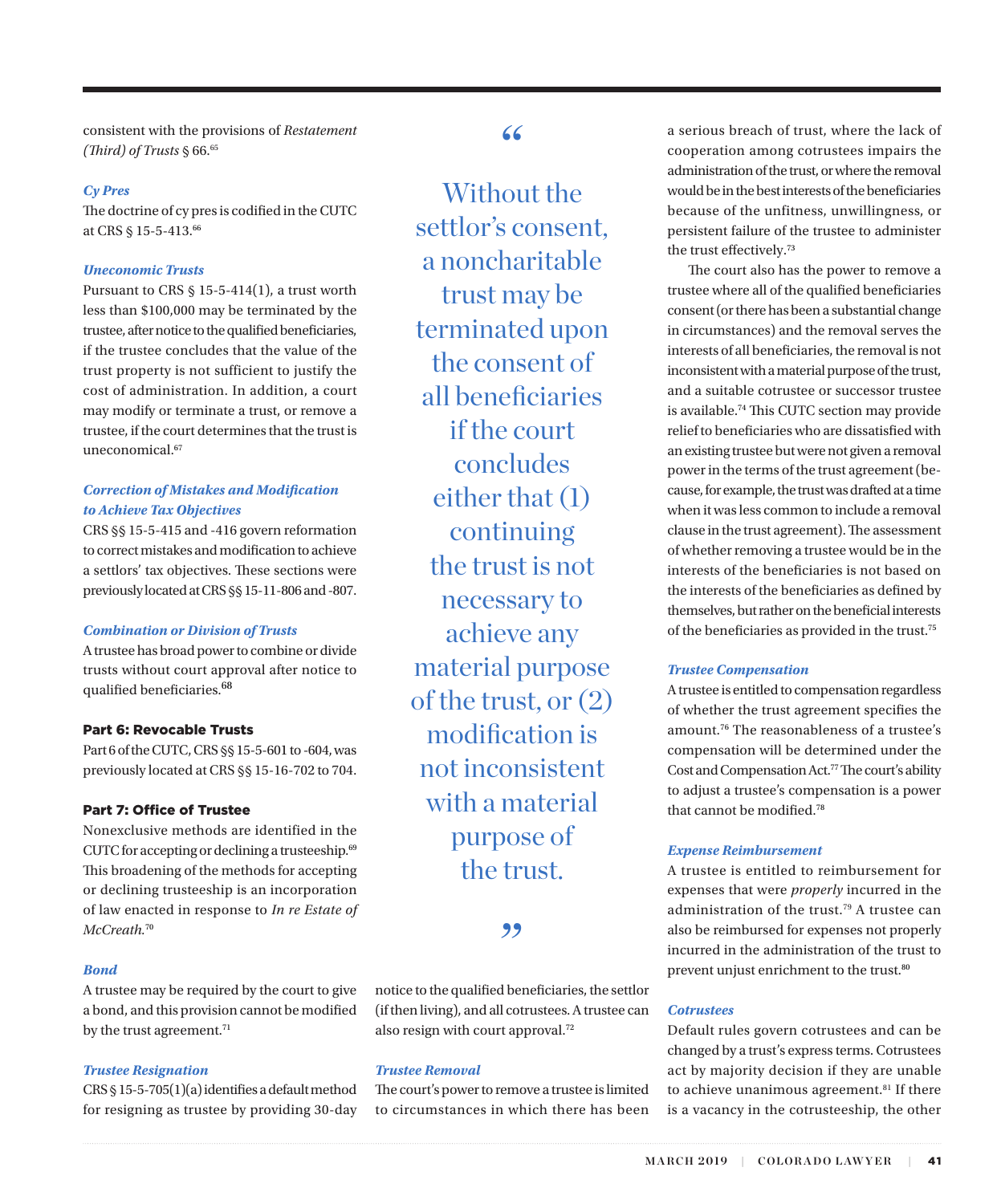consistent with the provisions of *Restatement (Third) of Trusts* § 66.65

# *Cy Pres*

The doctrine of cy pres is codified in the CUTC at CRS § 15-5-413.66

# *Uneconomic Trusts*

Pursuant to CRS  $\S$  15-5-414(1), a trust worth less than \$100,000 may be terminated by the trustee, after notice to the qualified beneficiaries, if the trustee concludes that the value of the trust property is not sufficient to justify the cost of administration. In addition, a court may modify or terminate a trust, or remove a trustee, if the court determines that the trust is uneconomical.67

# *Correction of Mistakes and Modification to Achieve Tax Objectives*

CRS §§ 15-5-415 and -416 govern reformation to correct mistakes and modification to achieve a settlors' tax objectives. These sections were previously located at CRS §§ 15-11-806 and -807.

# *Combination or Division of Trusts*

A trustee has broad power to combine or divide trusts without court approval after notice to qualified beneficiaries.<sup>68</sup>

# Part 6: Revocable Trusts

Part 6 of the CUTC, CRS §§ 15-5-601 to -604, was previously located at CRS §§ 15-16-702 to 704.

# Part 7: Office of Trustee

Nonexclusive methods are identified in the CUTC for accepting or declining a trusteeship. $69$ This broadening of the methods for accepting or declining trusteeship is an incorporation of law enacted in response to *In re Estate of McCreath.*<sup>70</sup>

# *Bond*

A trustee may be required by the court to give a bond, and this provision cannot be modified by the trust agreement.<sup>71</sup>

# *Trustee Resignation*

CRS § 15-5-705(1)(a) identifies a default method for resigning as trustee by providing 30-day "

Without the settlor's consent, a noncharitable trust may be terminated upon the consent of all beneficiaries if the court concludes either that (1) continuing the trust is not necessary to achieve any material purpose of the trust, or (2) modification is not inconsistent with a material purpose of the trust.

"

notice to the qualified beneficiaries, the settlor (if then living), and all cotrustees. A trustee can also resign with court approval.72

# *Trustee Removal*

The court's power to remove a trustee is limited to circumstances in which there has been a serious breach of trust, where the lack of cooperation among cotrustees impairs the administration of the trust, or where the removal would be in the best interests of the beneficiaries because of the unfitness, unwillingness, or persistent failure of the trustee to administer the trust effectively.<sup>73</sup>

The court also has the power to remove a trustee where all of the qualified beneficiaries consent (or there has been a substantial change in circumstances) and the removal serves the interests of all beneficiaries, the removal is not inconsistent with a material purpose of the trust, and a suitable cotrustee or successor trustee is available.74 This CUTC section may provide relief to beneficiaries who are dissatisfied with an existing trustee but were not given a removal power in the terms of the trust agreement (because, for example, the trust was drafted at a time when it was less common to include a removal clause in the trust agreement). The assessment of whether removing a trustee would be in the interests of the beneficiaries is not based on the interests of the beneficiaries as defined by themselves, but rather on the beneficial interests of the beneficiaries as provided in the trust.75

# *Trustee Compensation*

A trustee is entitled to compensation regardless of whether the trust agreement specifies the amount.76 The reasonableness of a trustee's compensation will be determined under the Cost and Compensation Act.77 The court's ability to adjust a trustee's compensation is a power that cannot be modified.<sup>78</sup>

# *Expense Reimbursement*

A trustee is entitled to reimbursement for expenses that were *properly* incurred in the administration of the trust.79 A trustee can also be reimbursed for expenses not properly incurred in the administration of the trust to prevent unjust enrichment to the trust.<sup>80</sup>

# *Cotrustees*

Default rules govern cotrustees and can be changed by a trust's express terms. Cotrustees act by majority decision if they are unable to achieve unanimous agreement. $81$  If there is a vacancy in the cotrusteeship, the other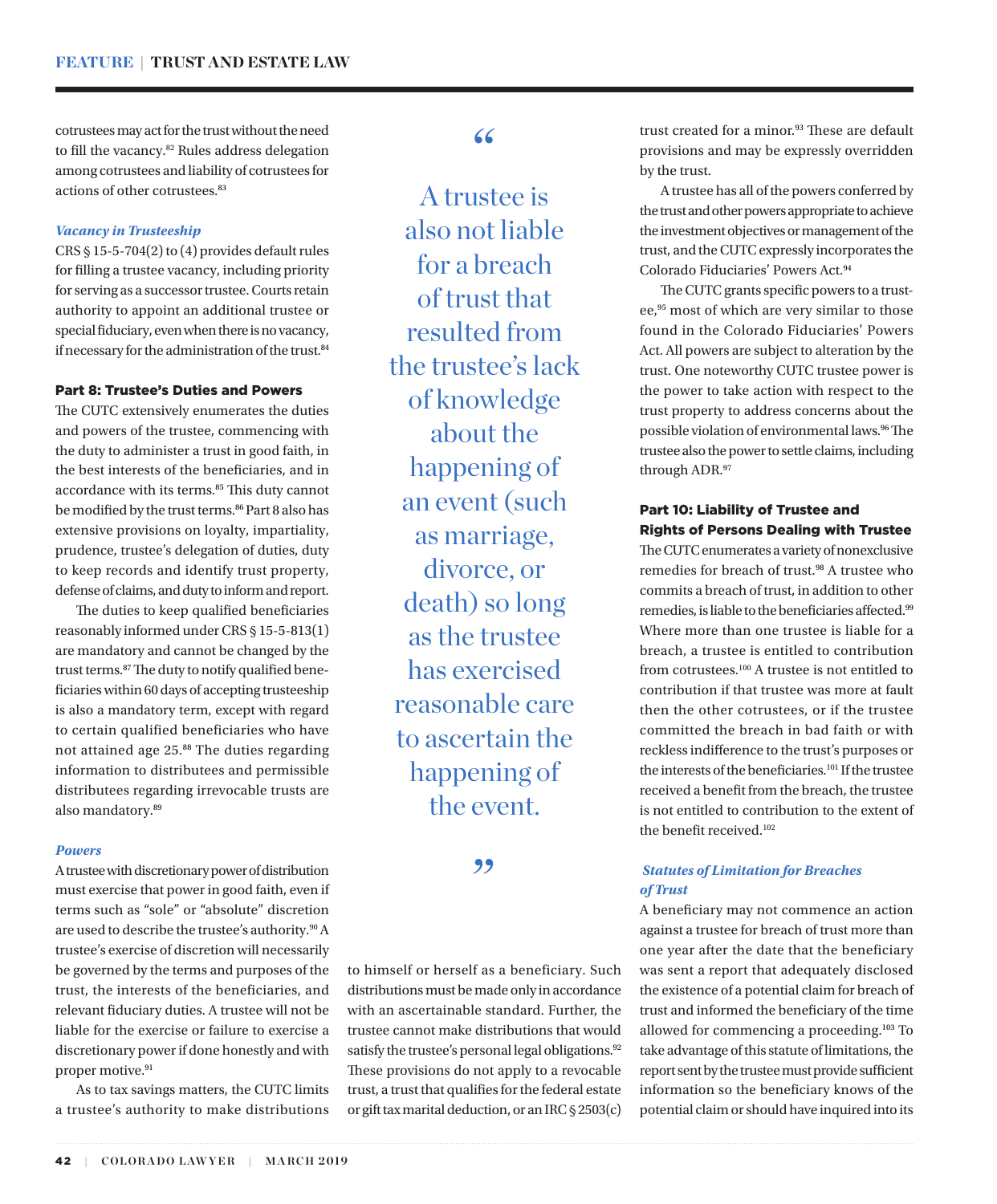cotrustees may act for the trust without the need to fill the vacancy.<sup>82</sup> Rules address delegation among cotrustees and liability of cotrustees for actions of other cotrustees.<sup>83</sup>

# *Vacancy in Trusteeship*

CRS § 15-5-704(2) to (4) provides default rules for filling a trustee vacancy, including priority for serving as a successor trustee. Courts retain authority to appoint an additional trustee or special fiduciary, even when there is no vacancy, if necessary for the administration of the trust.<sup>84</sup>

# Part 8: Trustee's Duties and Powers

The CUTC extensively enumerates the duties and powers of the trustee, commencing with the duty to administer a trust in good faith, in the best interests of the beneficiaries, and in accordance with its terms.<sup>85</sup> This duty cannot be modified by the trust terms.<sup>86</sup> Part 8 also has extensive provisions on loyalty, impartiality, prudence, trustee's delegation of duties, duty to keep records and identify trust property, defense of claims, and duty to inform and report.

The duties to keep qualified beneficiaries reasonably informed under CRS § 15-5-813(1) are mandatory and cannot be changed by the trust terms.87 The duty to notify qualified beneficiaries within 60 days of accepting trusteeship is also a mandatory term, except with regard to certain qualified beneficiaries who have not attained age 25.88 The duties regarding information to distributees and permissible distributees regarding irrevocable trusts are also mandatory.89

#### *Powers*

A trustee with discretionary power of distribution must exercise that power in good faith, even if terms such as "sole" or "absolute" discretion are used to describe the trustee's authority.<sup>90</sup> A trustee's exercise of discretion will necessarily be governed by the terms and purposes of the trust, the interests of the beneficiaries, and relevant fiduciary duties. A trustee will not be liable for the exercise or failure to exercise a discretionary power if done honestly and with proper motive.<sup>91</sup>

As to tax savings matters, the CUTC limits a trustee's authority to make distributions

# "

A trustee is also not liable for a breach of trust that resulted from the trustee's lack of knowledge about the happening of an event (such as marriage, divorce, or death) so long as the trustee has exercised reasonable care to ascertain the happening of the event.

# ,,

to himself or herself as a beneficiary. Such distributions must be made only in accordance with an ascertainable standard. Further, the trustee cannot make distributions that would satisfy the trustee's personal legal obligations.<sup>92</sup> These provisions do not apply to a revocable trust, a trust that qualifies for the federal estate or gift tax marital deduction, or an IRC § 2503(c)

trust created for a minor.<sup>93</sup> These are default provisions and may be expressly overridden by the trust.

A trustee has all of the powers conferred by the trust and other powers appropriate to achieve the investment objectives or management of the trust, and the CUTC expressly incorporates the Colorado Fiduciaries' Powers Act.94

The CUTC grants specific powers to a trustee,<sup>95</sup> most of which are very similar to those found in the Colorado Fiduciaries' Powers Act. All powers are subject to alteration by the trust. One noteworthy CUTC trustee power is the power to take action with respect to the trust property to address concerns about the possible violation of environmental laws.96 The trustee also the power to settle claims, including through ADR.97

# Part 10: Liability of Trustee and Rights of Persons Dealing with Trustee

The CUTC enumerates a variety of nonexclusive remedies for breach of trust.98 A trustee who commits a breach of trust, in addition to other remedies, is liable to the beneficiaries affected.99 Where more than one trustee is liable for a breach, a trustee is entitled to contribution from cotrustees.100 A trustee is not entitled to contribution if that trustee was more at fault then the other cotrustees, or if the trustee committed the breach in bad faith or with reckless indifference to the trust's purposes or the interests of the beneficiaries.101 If the trustee received a benefit from the breach, the trustee is not entitled to contribution to the extent of the benefit received.<sup>102</sup>

# *Statutes of Limitation for Breaches of Trust*

A beneficiary may not commence an action against a trustee for breach of trust more than one year after the date that the beneficiary was sent a report that adequately disclosed the existence of a potential claim for breach of trust and informed the beneficiary of the time allowed for commencing a proceeding.103 To take advantage of this statute of limitations, the report sent by the trustee must provide sufficient information so the beneficiary knows of the potential claim or should have inquired into its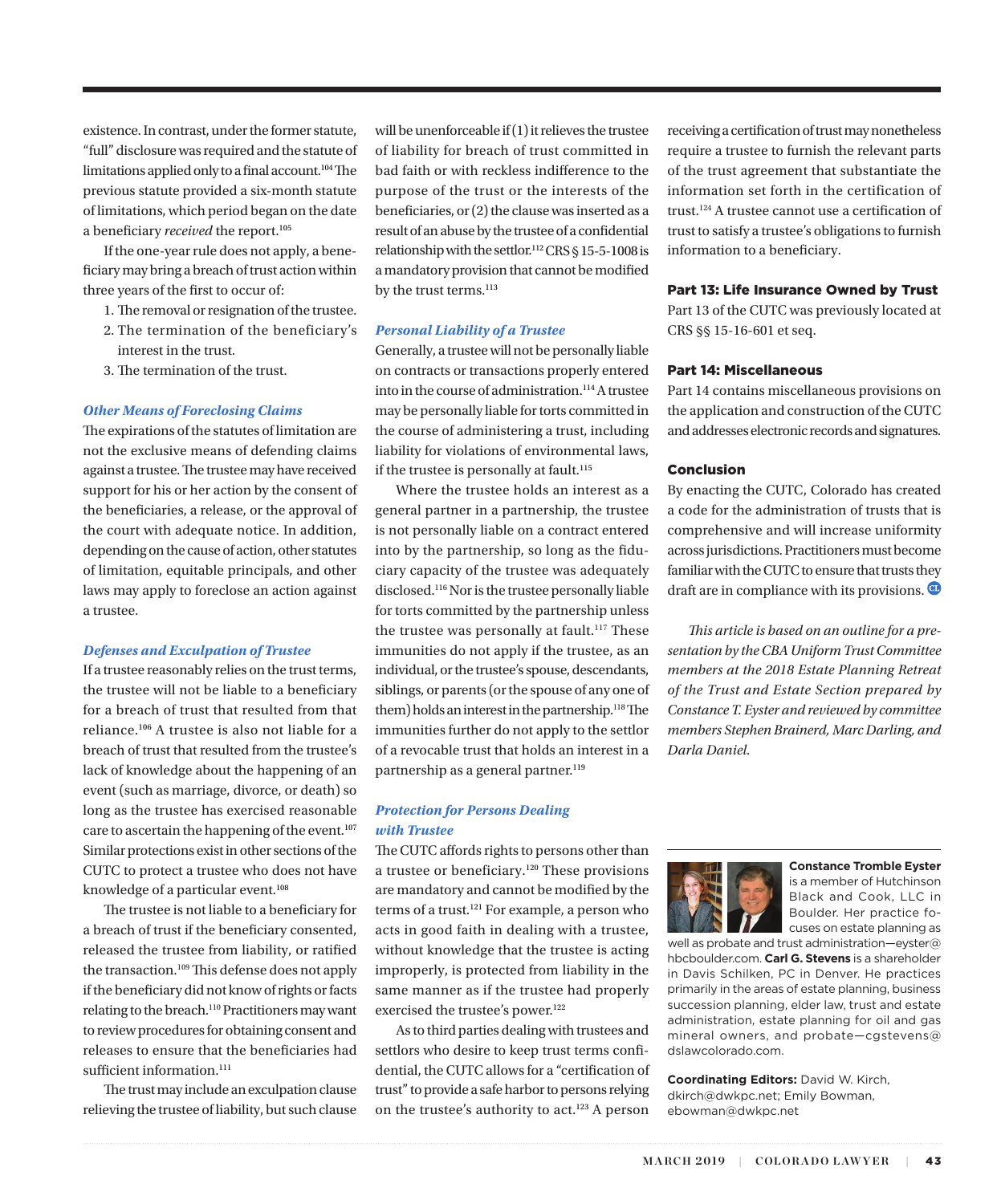existence. In contrast, under the former statute, "full" disclosure was required and the statute of limitations applied only to a final account.104 The previous statute provided a six-month statute of limitations, which period began on the date a beneficiary *received* the report.<sup>105</sup>

If the one-year rule does not apply, a beneficiary may bring a breach of trust action within three years of the first to occur of:

- 1. The removal or resignation of the trustee.
- 2. The termination of the beneficiary's interest in the trust.
- 3. The termination of the trust.

#### *Other Means of Foreclosing Claims*

The expirations of the statutes of limitation are not the exclusive means of defending claims against a trustee. The trustee may have received support for his or her action by the consent of the beneficiaries, a release, or the approval of the court with adequate notice. In addition, depending on the cause of action, other statutes of limitation, equitable principals, and other laws may apply to foreclose an action against a trustee.

#### *Defenses and Exculpation of Trustee*

If a trustee reasonably relies on the trust terms, the trustee will not be liable to a beneficiary for a breach of trust that resulted from that reliance.106 A trustee is also not liable for a breach of trust that resulted from the trustee's lack of knowledge about the happening of an event (such as marriage, divorce, or death) so long as the trustee has exercised reasonable care to ascertain the happening of the event.<sup>107</sup> Similar protections exist in other sections of the CUTC to protect a trustee who does not have knowledge of a particular event.<sup>108</sup>

The trustee is not liable to a beneficiary for a breach of trust if the beneficiary consented, released the trustee from liability, or ratified the transaction.<sup>109</sup> This defense does not apply if the beneficiary did not know of rights or facts relating to the breach.110 Practitioners may want to review procedures for obtaining consent and releases to ensure that the beneficiaries had sufficient information.<sup>111</sup>

The trust may include an exculpation clause relieving the trustee of liability, but such clause will be unenforceable if (1) it relieves the trustee of liability for breach of trust committed in bad faith or with reckless indifference to the purpose of the trust or the interests of the beneficiaries, or (2) the clause was inserted as a result of an abuse by the trustee of a confidential relationship with the settlor.112 CRS § 15-5-1008 is a mandatory provision that cannot be modified by the trust terms.<sup>113</sup>

#### *Personal Liability of a Trustee*

Generally, a trustee will not be personally liable on contracts or transactions properly entered into in the course of administration.<sup>114</sup> A trustee may be personally liable for torts committed in the course of administering a trust, including liability for violations of environmental laws, if the trustee is personally at fault.<sup>115</sup>

Where the trustee holds an interest as a general partner in a partnership, the trustee is not personally liable on a contract entered into by the partnership, so long as the fiduciary capacity of the trustee was adequately disclosed.116 Nor is the trustee personally liable for torts committed by the partnership unless the trustee was personally at fault.<sup>117</sup> These immunities do not apply if the trustee, as an individual, or the trustee's spouse, descendants, siblings, or parents (or the spouse of any one of them) holds an interest in the partnership.118 The immunities further do not apply to the settlor of a revocable trust that holds an interest in a partnership as a general partner.<sup>119</sup>

# *Protection for Persons Dealing with Trustee*

The CUTC affords rights to persons other than a trustee or beneficiary.120 These provisions are mandatory and cannot be modified by the terms of a trust.<sup>121</sup> For example, a person who acts in good faith in dealing with a trustee, without knowledge that the trustee is acting improperly, is protected from liability in the same manner as if the trustee had properly exercised the trustee's power.<sup>122</sup>

As to third parties dealing with trustees and settlors who desire to keep trust terms confidential, the CUTC allows for a "certification of trust" to provide a safe harbor to persons relying on the trustee's authority to act.<sup>123</sup> A person

receiving a certification of trust may nonetheless require a trustee to furnish the relevant parts of the trust agreement that substantiate the information set forth in the certification of trust.124 A trustee cannot use a certification of trust to satisfy a trustee's obligations to furnish information to a beneficiary.

#### Part 13: Life Insurance Owned by Trust

Part 13 of the CUTC was previously located at CRS §§ 15-16-601 et seq.

# Part 14: Miscellaneous

Part 14 contains miscellaneous provisions on the application and construction of the CUTC and addresses electronic records and signatures.

# Conclusion

By enacting the CUTC, Colorado has created a code for the administration of trusts that is comprehensive and will increase uniformity across jurisdictions. Practitioners must become familiar with the CUTC to ensure that trusts they draft are in compliance with its provisions.

*This article is based on an outline for a presentation by the CBA Uniform Trust Committee members at the 2018 Estate Planning Retreat of the Trust and Estate Section prepared by Constance T. Eyster and reviewed by committee members Stephen Brainerd, Marc Darling, and Darla Daniel.*



#### **Constance Tromble Eyster**

is a member of Hutchinson Black and Cook, LLC in Boulder. Her practice focuses on estate planning as

well as probate and trust administration—eyster@ hbcboulder.com. **Carl G. Stevens** is a shareholder in Davis Schilken, PC in Denver. He practices primarily in the areas of estate planning, business succession planning, elder law, trust and estate administration, estate planning for oil and gas mineral owners, and probate—cgstevens@ dslawcolorado.com.

**Coordinating Editors:** David W. Kirch, dkirch@dwkpc.net; Emily Bowman, ebowman@dwkpc.net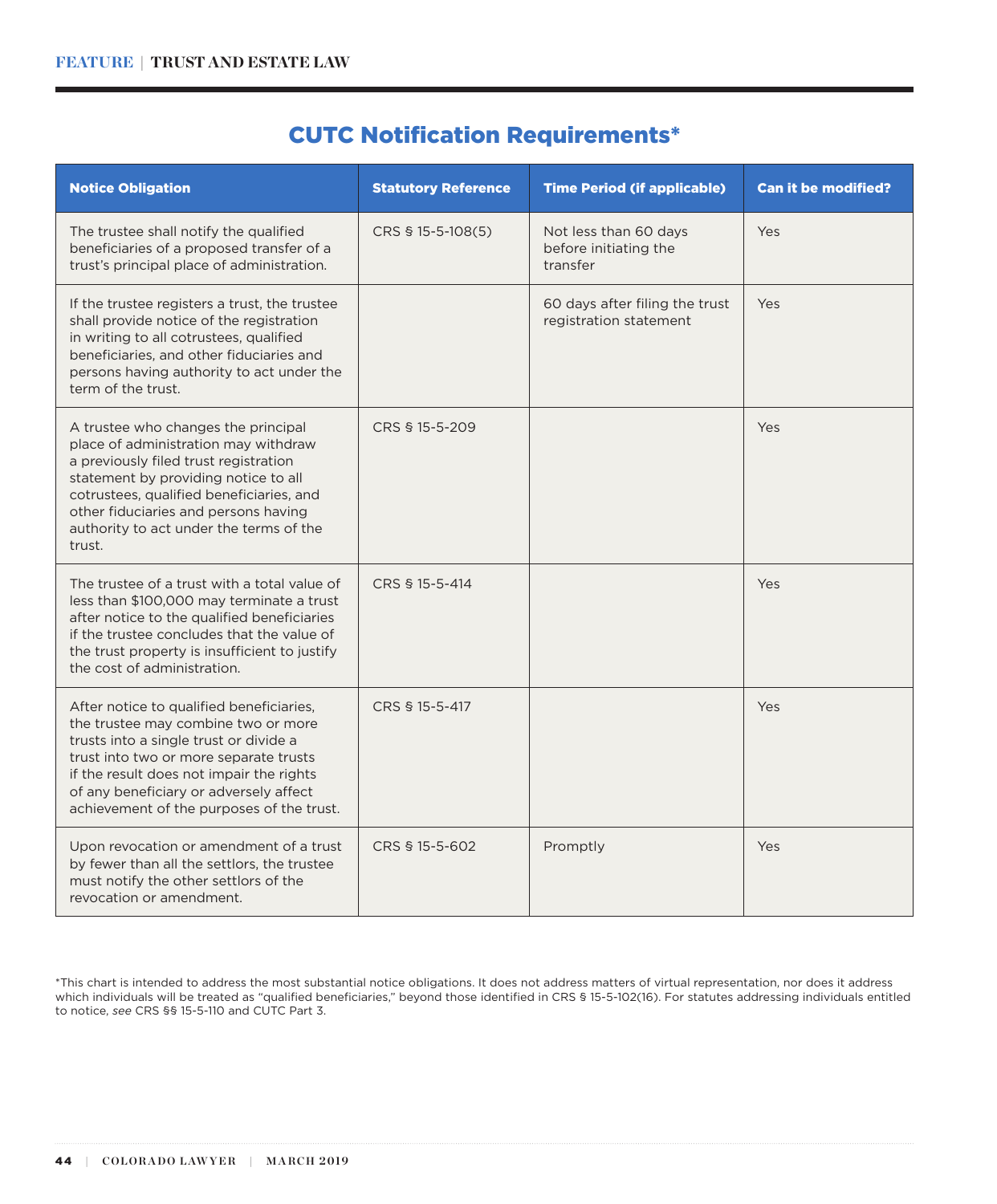# CUTC Notification Requirements\*

| <b>Notice Obligation</b>                                                                                                                                                                                                                                                                               | <b>Statutory Reference</b> | <b>Time Period (if applicable)</b>                         | <b>Can it be modified?</b> |
|--------------------------------------------------------------------------------------------------------------------------------------------------------------------------------------------------------------------------------------------------------------------------------------------------------|----------------------------|------------------------------------------------------------|----------------------------|
| The trustee shall notify the qualified<br>beneficiaries of a proposed transfer of a<br>trust's principal place of administration.                                                                                                                                                                      | CRS § 15-5-108(5)          | Not less than 60 days<br>before initiating the<br>transfer | Yes                        |
| If the trustee registers a trust, the trustee<br>shall provide notice of the registration<br>in writing to all cotrustees, qualified<br>beneficiaries, and other fiduciaries and<br>persons having authority to act under the<br>term of the trust.                                                    |                            | 60 days after filing the trust<br>registration statement   | Yes                        |
| A trustee who changes the principal<br>place of administration may withdraw<br>a previously filed trust registration<br>statement by providing notice to all<br>cotrustees, qualified beneficiaries, and<br>other fiduciaries and persons having<br>authority to act under the terms of the<br>trust.  | CRS § 15-5-209             |                                                            | Yes                        |
| The trustee of a trust with a total value of<br>less than \$100,000 may terminate a trust<br>after notice to the qualified beneficiaries<br>if the trustee concludes that the value of<br>the trust property is insufficient to justify<br>the cost of administration.                                 | CRS § 15-5-414             |                                                            | Yes                        |
| After notice to qualified beneficiaries,<br>the trustee may combine two or more<br>trusts into a single trust or divide a<br>trust into two or more separate trusts<br>if the result does not impair the rights<br>of any beneficiary or adversely affect<br>achievement of the purposes of the trust. | CRS § 15-5-417             |                                                            | Yes                        |
| Upon revocation or amendment of a trust<br>by fewer than all the settlors, the trustee<br>must notify the other settlors of the<br>revocation or amendment.                                                                                                                                            | CRS § 15-5-602             | Promptly                                                   | Yes                        |

<sup>\*</sup>This chart is intended to address the most substantial notice obligations. It does not address matters of virtual representation, nor does it address which individuals will be treated as "qualified beneficiaries," beyond those identified in CRS § 15-5-102(16). For statutes addressing individuals entitled to notice, *see* CRS §§ 15-5-110 and CUTC Part 3.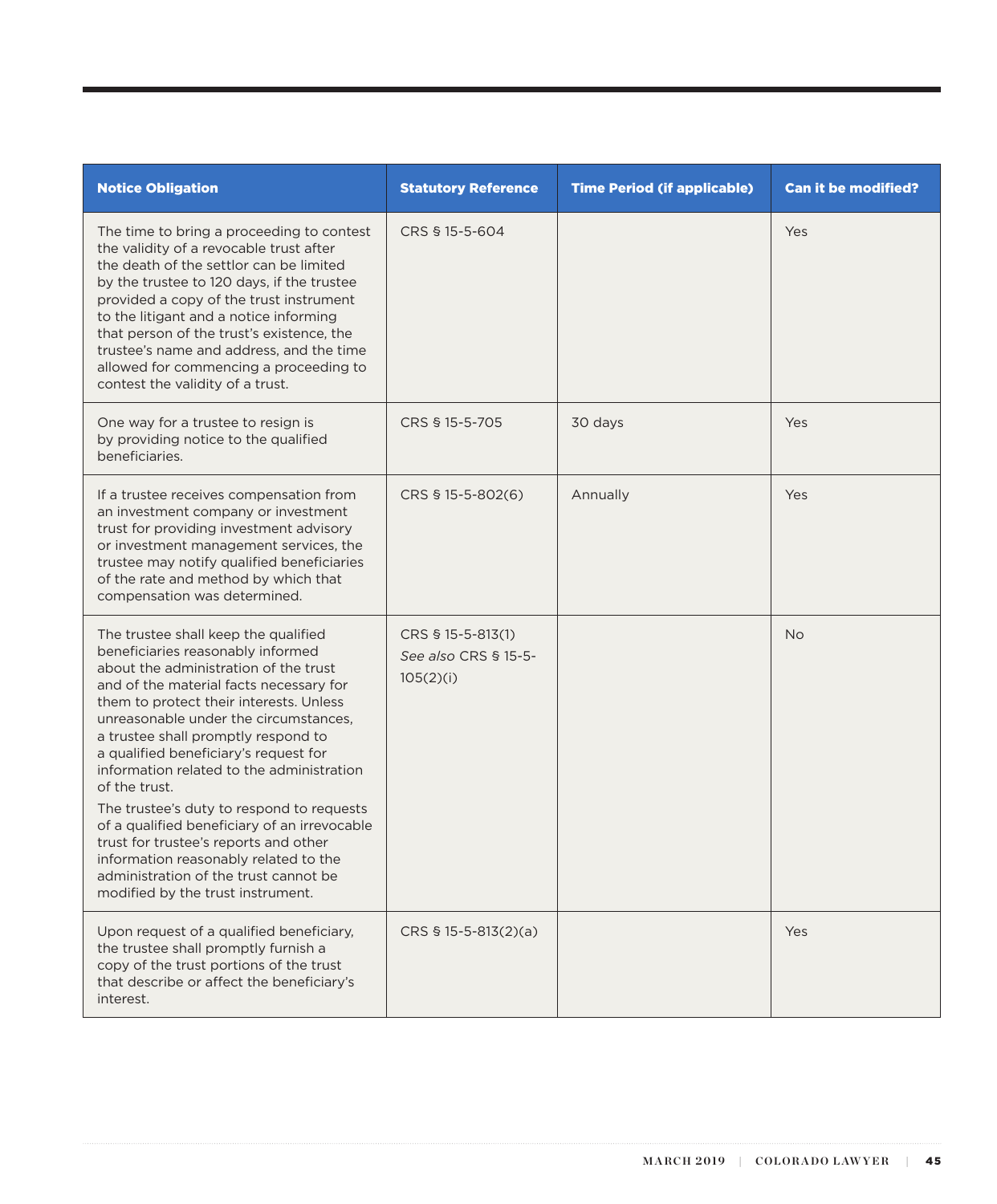| <b>Notice Obligation</b>                                                                                                                                                                                                                                                                                                                                                                                                                                                                                                                                                                                                                                     | <b>Statutory Reference</b>                             | <b>Time Period (if applicable)</b> | <b>Can it be modified?</b> |
|--------------------------------------------------------------------------------------------------------------------------------------------------------------------------------------------------------------------------------------------------------------------------------------------------------------------------------------------------------------------------------------------------------------------------------------------------------------------------------------------------------------------------------------------------------------------------------------------------------------------------------------------------------------|--------------------------------------------------------|------------------------------------|----------------------------|
| The time to bring a proceeding to contest<br>the validity of a revocable trust after<br>the death of the settlor can be limited<br>by the trustee to 120 days, if the trustee<br>provided a copy of the trust instrument<br>to the litigant and a notice informing<br>that person of the trust's existence, the<br>trustee's name and address, and the time<br>allowed for commencing a proceeding to<br>contest the validity of a trust.                                                                                                                                                                                                                    | CRS § 15-5-604                                         |                                    | Yes                        |
| One way for a trustee to resign is<br>by providing notice to the qualified<br>beneficiaries.                                                                                                                                                                                                                                                                                                                                                                                                                                                                                                                                                                 | CRS § 15-5-705                                         | 30 days                            | Yes                        |
| If a trustee receives compensation from<br>an investment company or investment<br>trust for providing investment advisory<br>or investment management services, the<br>trustee may notify qualified beneficiaries<br>of the rate and method by which that<br>compensation was determined.                                                                                                                                                                                                                                                                                                                                                                    | CRS § 15-5-802(6)                                      | Annually                           | Yes                        |
| The trustee shall keep the qualified<br>beneficiaries reasonably informed<br>about the administration of the trust<br>and of the material facts necessary for<br>them to protect their interests. Unless<br>unreasonable under the circumstances,<br>a trustee shall promptly respond to<br>a qualified beneficiary's request for<br>information related to the administration<br>of the trust.<br>The trustee's duty to respond to requests<br>of a qualified beneficiary of an irrevocable<br>trust for trustee's reports and other<br>information reasonably related to the<br>administration of the trust cannot be<br>modified by the trust instrument. | CRS § 15-5-813(1)<br>See also CRS § 15-5-<br>105(2)(i) |                                    | <b>No</b>                  |
| Upon request of a qualified beneficiary,<br>the trustee shall promptly furnish a<br>copy of the trust portions of the trust<br>that describe or affect the beneficiary's<br>interest.                                                                                                                                                                                                                                                                                                                                                                                                                                                                        | $CRS$ § 15-5-813 $(2)(a)$                              |                                    | Yes                        |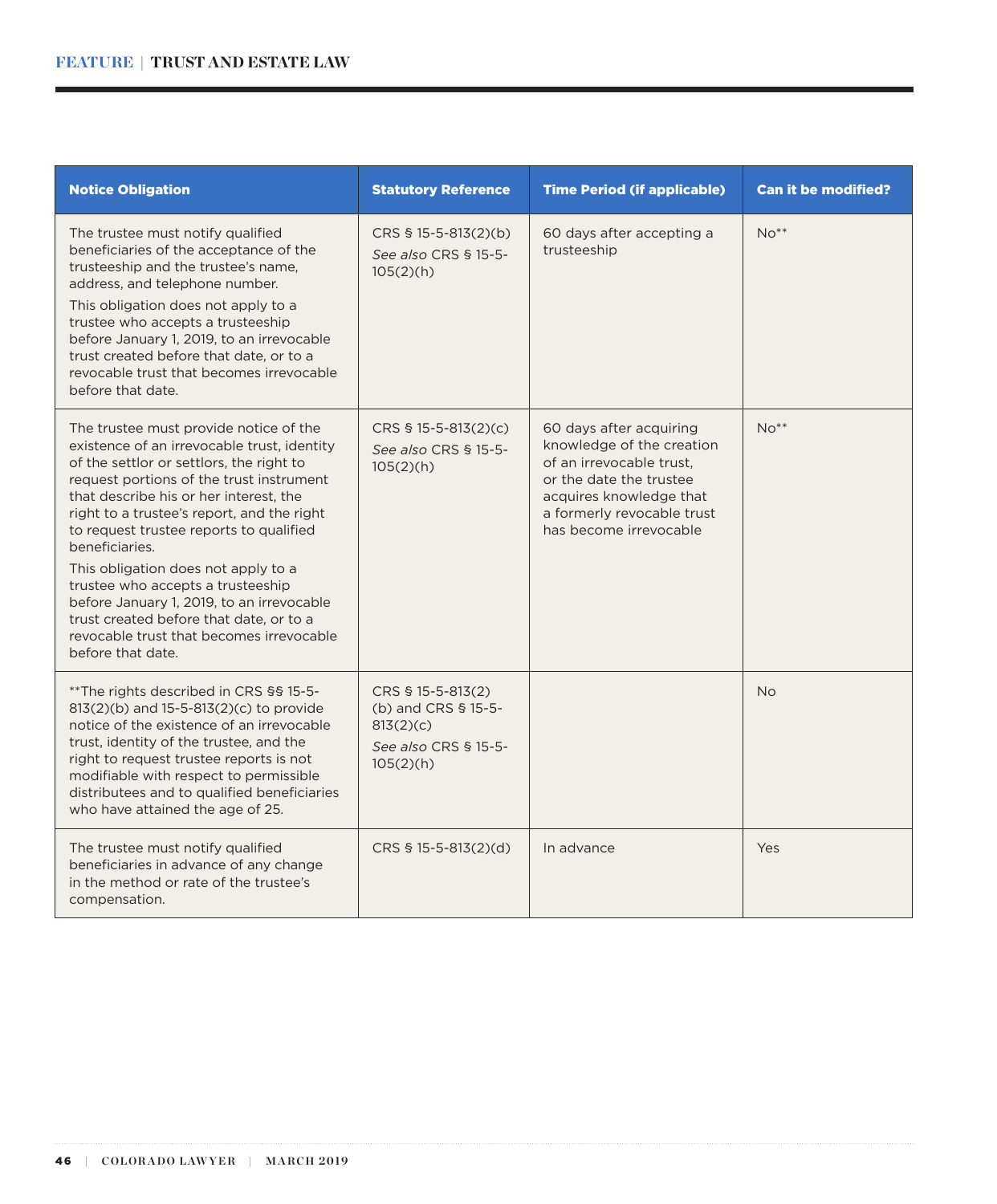| <b>Notice Obligation</b>                                                                                                                                                                                                                                                                                                                                                                                                                                                                                                                                                | <b>Statutory Reference</b>                                                                 | <b>Time Period (if applicable)</b>                                                                                                                                                             | <b>Can it be modified?</b> |
|-------------------------------------------------------------------------------------------------------------------------------------------------------------------------------------------------------------------------------------------------------------------------------------------------------------------------------------------------------------------------------------------------------------------------------------------------------------------------------------------------------------------------------------------------------------------------|--------------------------------------------------------------------------------------------|------------------------------------------------------------------------------------------------------------------------------------------------------------------------------------------------|----------------------------|
| The trustee must notify qualified<br>beneficiaries of the acceptance of the<br>trusteeship and the trustee's name,<br>address, and telephone number.<br>This obligation does not apply to a<br>trustee who accepts a trusteeship<br>before January 1, 2019, to an irrevocable<br>trust created before that date, or to a<br>revocable trust that becomes irrevocable<br>before that date.                                                                                                                                                                               | CRS § 15-5-813(2)(b)<br>See also CRS § 15-5-<br>105(2)(h)                                  | 60 days after accepting a<br>trusteeship                                                                                                                                                       | $No**$                     |
| The trustee must provide notice of the<br>existence of an irrevocable trust, identity<br>of the settlor or settlors, the right to<br>request portions of the trust instrument<br>that describe his or her interest, the<br>right to a trustee's report, and the right<br>to request trustee reports to qualified<br>beneficiaries.<br>This obligation does not apply to a<br>trustee who accepts a trusteeship<br>before January 1, 2019, to an irrevocable<br>trust created before that date, or to a<br>revocable trust that becomes irrevocable<br>before that date. | $CRS$ § 15-5-813(2)(c)<br>See also CRS § 15-5-<br>105(2)(h)                                | 60 days after acquiring<br>knowledge of the creation<br>of an irrevocable trust.<br>or the date the trustee<br>acquires knowledge that<br>a formerly revocable trust<br>has become irrevocable | $No**$                     |
| ** The rights described in CRS §§ 15-5-<br>813(2)(b) and 15-5-813(2)(c) to provide<br>notice of the existence of an irrevocable<br>trust, identity of the trustee, and the<br>right to request trustee reports is not<br>modifiable with respect to permissible<br>distributees and to qualified beneficiaries<br>who have attained the age of 25.                                                                                                                                                                                                                      | CRS § 15-5-813(2)<br>(b) and CRS § 15-5-<br>813(2)(c)<br>See also CRS § 15-5-<br>105(2)(h) |                                                                                                                                                                                                | <b>No</b>                  |
| The trustee must notify qualified<br>beneficiaries in advance of any change<br>in the method or rate of the trustee's<br>compensation.                                                                                                                                                                                                                                                                                                                                                                                                                                  | CRS § 15-5-813(2)(d)                                                                       | In advance                                                                                                                                                                                     | Yes                        |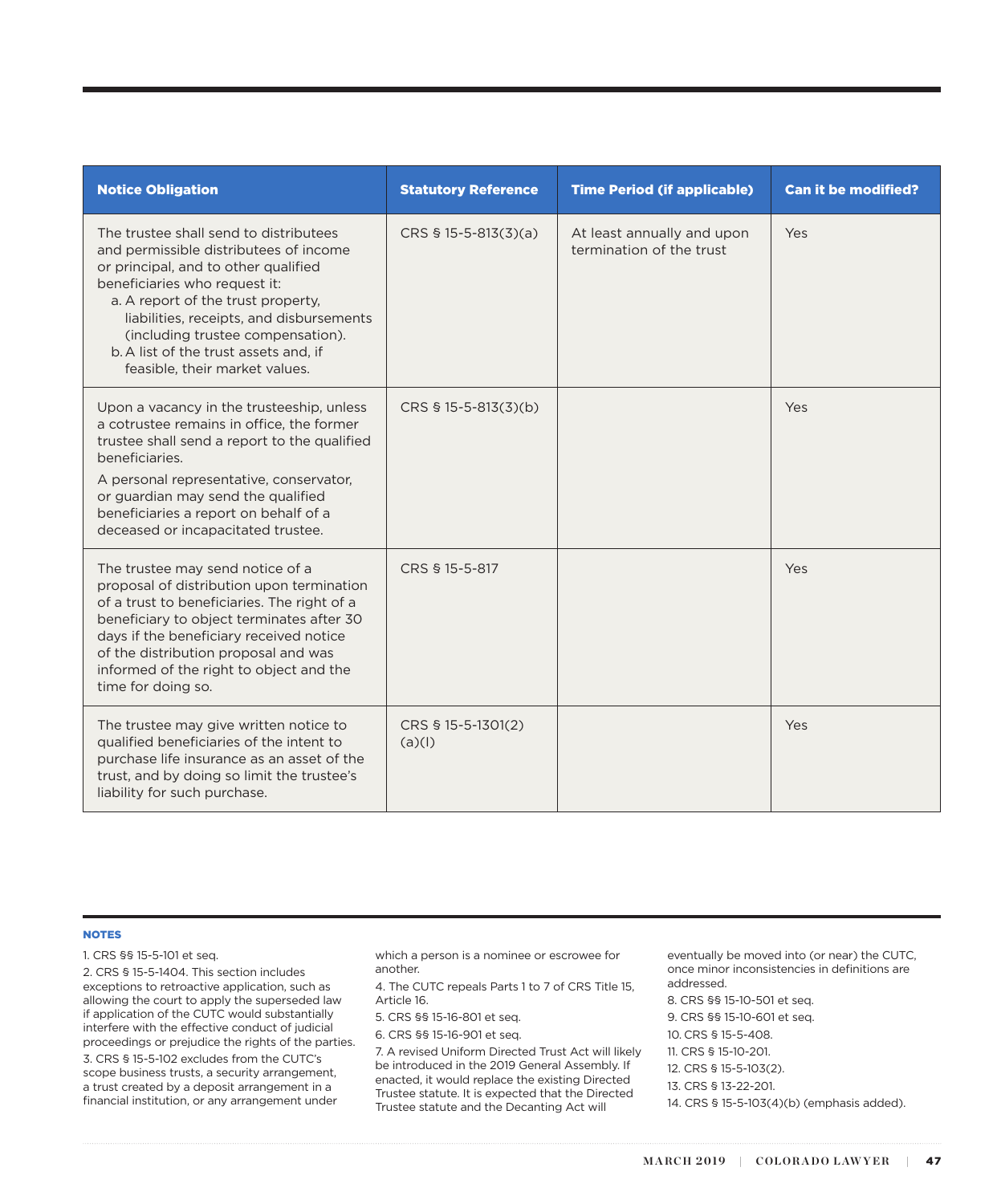| <b>Notice Obligation</b>                                                                                                                                                                                                                                                                                                                                    | <b>Statutory Reference</b>   | <b>Time Period (if applicable)</b>                     | <b>Can it be modified?</b> |
|-------------------------------------------------------------------------------------------------------------------------------------------------------------------------------------------------------------------------------------------------------------------------------------------------------------------------------------------------------------|------------------------------|--------------------------------------------------------|----------------------------|
| The trustee shall send to distributees<br>and permissible distributees of income<br>or principal, and to other qualified<br>beneficiaries who request it:<br>a. A report of the trust property,<br>liabilities, receipts, and disbursements<br>(including trustee compensation).<br>b. A list of the trust assets and, if<br>feasible, their market values. | $CRS$ § 15-5-813(3)(a)       | At least annually and upon<br>termination of the trust | Yes                        |
| Upon a vacancy in the trusteeship, unless<br>a cotrustee remains in office, the former<br>trustee shall send a report to the qualified<br>beneficiaries.<br>A personal representative, conservator,<br>or guardian may send the qualified<br>beneficiaries a report on behalf of a<br>deceased or incapacitated trustee.                                    | $CRS$ § 15-5-813(3)(b)       |                                                        | Yes                        |
| The trustee may send notice of a<br>proposal of distribution upon termination<br>of a trust to beneficiaries. The right of a<br>beneficiary to object terminates after 30<br>days if the beneficiary received notice<br>of the distribution proposal and was<br>informed of the right to object and the<br>time for doing so.                               | CRS § 15-5-817               |                                                        | Yes                        |
| The trustee may give written notice to<br>qualified beneficiaries of the intent to<br>purchase life insurance as an asset of the<br>trust, and by doing so limit the trustee's<br>liability for such purchase.                                                                                                                                              | CRS § 15-5-1301(2)<br>(a)(l) |                                                        | Yes                        |

#### NOTES

1. CRS §§ 15-5-101 et seq.

2. CRS § 15-5-1404. This section includes exceptions to retroactive application, such as allowing the court to apply the superseded law if application of the CUTC would substantially interfere with the effective conduct of judicial proceedings or prejudice the rights of the parties.

3. CRS § 15-5-102 excludes from the CUTC's scope business trusts, a security arrangement, a trust created by a deposit arrangement in a financial institution, or any arrangement under which a person is a nominee or escrowee for another.

4. The CUTC repeals Parts 1 to 7 of CRS Title 15, Article 16.

5. CRS §§ 15-16-801 et seq.

6. CRS §§ 15-16-901 et seq.

7. A revised Uniform Directed Trust Act will likely be introduced in the 2019 General Assembly. If enacted, it would replace the existing Directed Trustee statute. It is expected that the Directed Trustee statute and the Decanting Act will

eventually be moved into (or near) the CUTC, once minor inconsistencies in definitions are addressed. 8. CRS §§ 15-10-501 et seq.

9. CRS §§ 15-10-601 et seq.

10. CRS § 15-5-408.

11. CRS § 15-10-201.

12. CRS § 15-5-103(2).

13. CRS § 13-22-201.

14. CRS § 15-5-103(4)(b) (emphasis added).